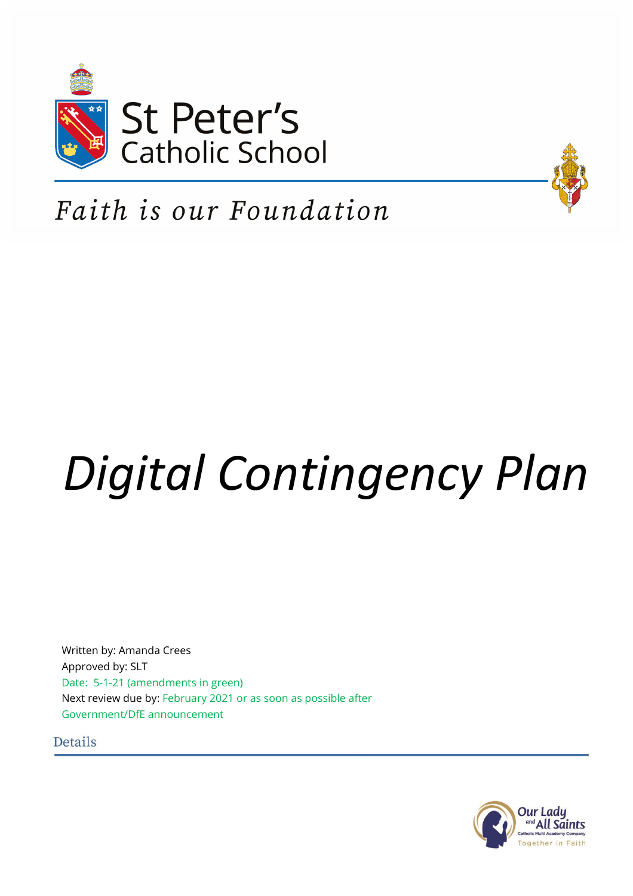



# Faith is our Foundation

# *Digital Contingency Plan*

Written by: Amanda Crees Approved by: SLT Date: 5-1-21 (amendments in green) Next review due by: February 2021 or as soon as possible after Government/DfE announcement

**Details** 

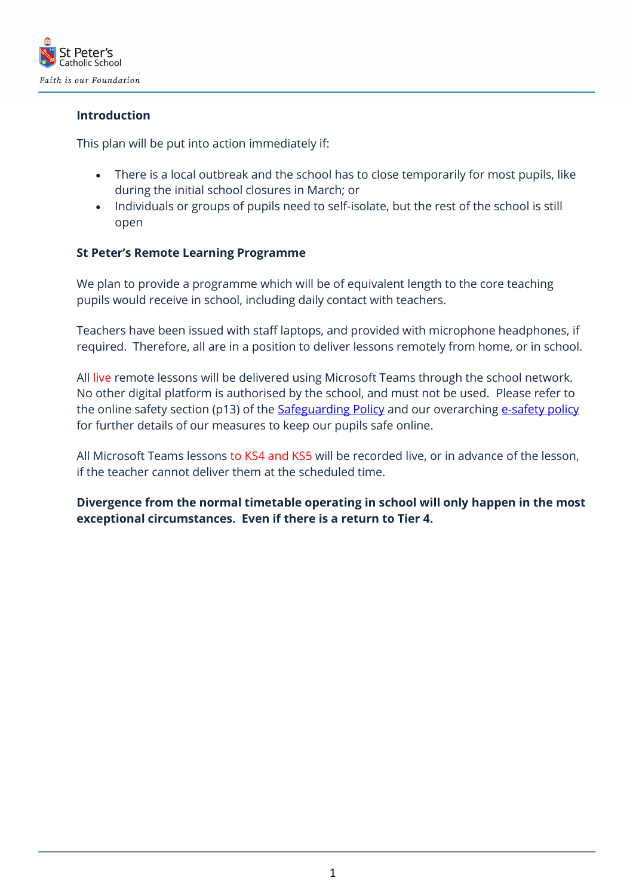

# **Introduction**

This plan will be put into action immediately if:

- There is a local outbreak and the school has to close temporarily for most pupils, like during the initial school closures in March; or
- Individuals or groups of pupils need to self-isolate, but the rest of the school is still open

# **St Peter's Remote Learning Programme**

We plan to provide a programme which will be of equivalent length to the core teaching pupils would receive in school, including daily contact with teachers.

Teachers have been issued with staff laptops, and provided with microphone headphones, if required. Therefore, all are in a position to deliver lessons remotely from home, or in school.

All live remote lessons will be delivered using Microsoft Teams through the school network. No other digital platform is authorised by the school, and must not be used. Please refer to the online safety section (p13) of the **Safeguarding Policy** and our overarching [e-safety policy](file:///C:/Users/creesa/AppData/Local/Microsoft/Windows/INetCache/Content.Outlook/EH35TW3G/cover%20arrangements%20will%20apply.%20%20When%20they%20are%20well%20enough,%20teachers%20will%20work%20from%20home,%20and%20deliver%20remote%20lessons%20to%20all%20their%20classes,%20following%20the%20normal%20timetable%20in%20school.) for further details of our measures to keep our pupils safe online.

All Microsoft Teams lessons to KS4 and KS5 will be recorded live, or in advance of the lesson, if the teacher cannot deliver them at the scheduled time.

**Divergence from the normal timetable operating in school will only happen in the most exceptional circumstances. Even if there is a return to Tier 4.**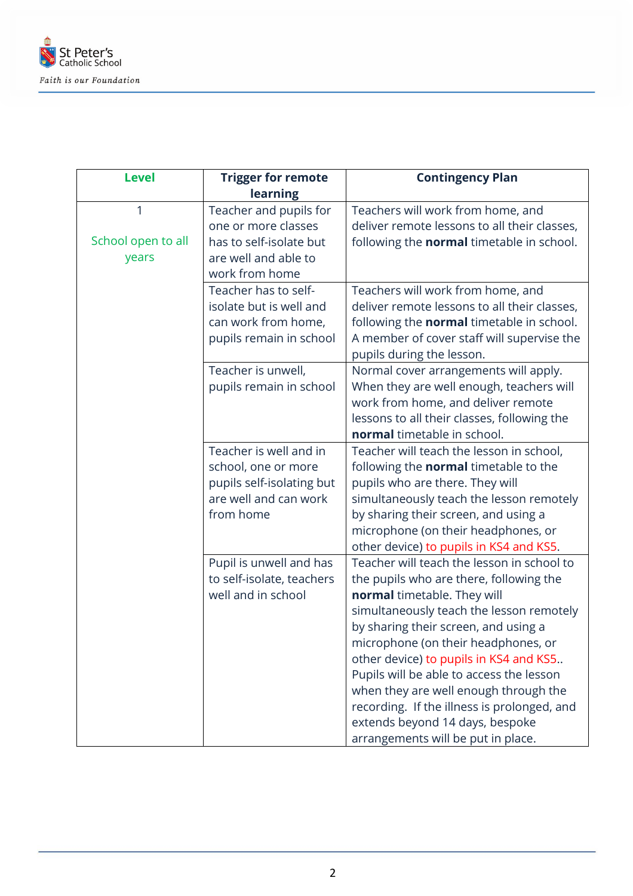

| <b>Level</b>       | <b>Trigger for remote</b> | <b>Contingency Plan</b>                          |
|--------------------|---------------------------|--------------------------------------------------|
|                    | learning                  |                                                  |
| 1                  | Teacher and pupils for    | Teachers will work from home, and                |
|                    | one or more classes       | deliver remote lessons to all their classes,     |
| School open to all | has to self-isolate but   | following the <b>normal</b> timetable in school. |
| years              | are well and able to      |                                                  |
|                    | work from home            |                                                  |
|                    | Teacher has to self-      | Teachers will work from home, and                |
|                    | isolate but is well and   | deliver remote lessons to all their classes,     |
|                    | can work from home,       | following the normal timetable in school.        |
|                    | pupils remain in school   | A member of cover staff will supervise the       |
|                    |                           | pupils during the lesson.                        |
|                    | Teacher is unwell,        | Normal cover arrangements will apply.            |
|                    | pupils remain in school   | When they are well enough, teachers will         |
|                    |                           | work from home, and deliver remote               |
|                    |                           | lessons to all their classes, following the      |
|                    |                           | normal timetable in school.                      |
|                    | Teacher is well and in    | Teacher will teach the lesson in school,         |
|                    | school, one or more       | following the <b>normal</b> timetable to the     |
|                    | pupils self-isolating but | pupils who are there. They will                  |
|                    | are well and can work     | simultaneously teach the lesson remotely         |
|                    | from home                 | by sharing their screen, and using a             |
|                    |                           | microphone (on their headphones, or              |
|                    |                           | other device) to pupils in KS4 and KS5.          |
|                    | Pupil is unwell and has   | Teacher will teach the lesson in school to       |
|                    | to self-isolate, teachers | the pupils who are there, following the          |
|                    | well and in school        | normal timetable. They will                      |
|                    |                           | simultaneously teach the lesson remotely         |
|                    |                           | by sharing their screen, and using a             |
|                    |                           | microphone (on their headphones, or              |
|                    |                           | other device) to pupils in KS4 and KS5           |
|                    |                           | Pupils will be able to access the lesson         |
|                    |                           | when they are well enough through the            |
|                    |                           | recording. If the illness is prolonged, and      |
|                    |                           | extends beyond 14 days, bespoke                  |
|                    |                           | arrangements will be put in place.               |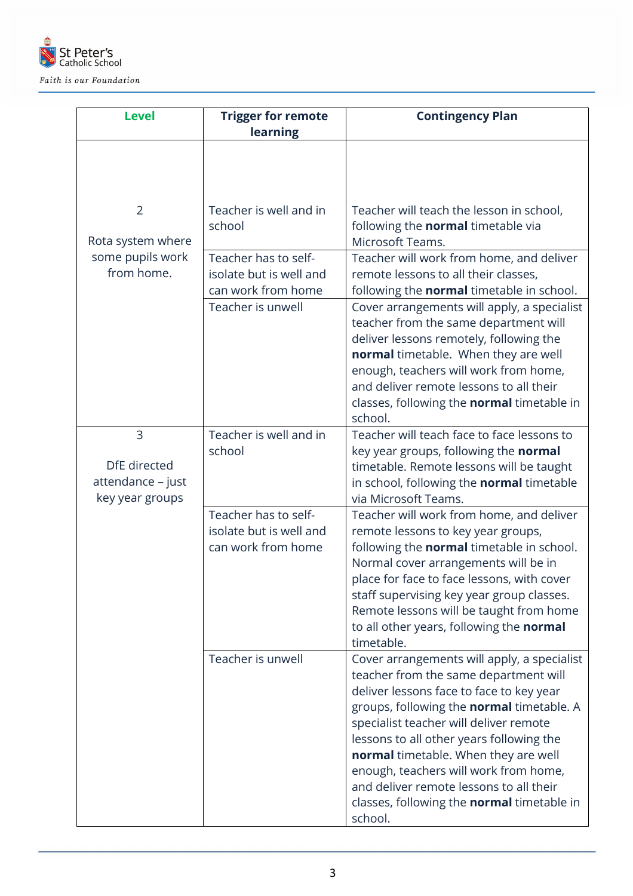

| <b>Level</b>                                              | <b>Trigger for remote</b><br>learning                                                      | <b>Contingency Plan</b>                                                                                                                                                                                                                                                                                                                                                                                                                                         |
|-----------------------------------------------------------|--------------------------------------------------------------------------------------------|-----------------------------------------------------------------------------------------------------------------------------------------------------------------------------------------------------------------------------------------------------------------------------------------------------------------------------------------------------------------------------------------------------------------------------------------------------------------|
|                                                           |                                                                                            |                                                                                                                                                                                                                                                                                                                                                                                                                                                                 |
| $\overline{2}$<br>Rota system where                       | Teacher is well and in<br>school                                                           | Teacher will teach the lesson in school,<br>following the normal timetable via<br>Microsoft Teams.                                                                                                                                                                                                                                                                                                                                                              |
| some pupils work<br>from home.                            | Teacher has to self-<br>isolate but is well and<br>can work from home<br>Teacher is unwell | Teacher will work from home, and deliver<br>remote lessons to all their classes,<br>following the normal timetable in school.<br>Cover arrangements will apply, a specialist<br>teacher from the same department will<br>deliver lessons remotely, following the<br>normal timetable. When they are well<br>enough, teachers will work from home,<br>and deliver remote lessons to all their<br>classes, following the normal timetable in                      |
| 3<br>DfE directed<br>attendance - just<br>key year groups | Teacher is well and in<br>school                                                           | school.<br>Teacher will teach face to face lessons to<br>key year groups, following the normal<br>timetable. Remote lessons will be taught<br>in school, following the normal timetable<br>via Microsoft Teams.                                                                                                                                                                                                                                                 |
|                                                           | Teacher has to self-<br>isolate but is well and<br>can work from home                      | Teacher will work from home, and deliver<br>remote lessons to key year groups,<br>following the normal timetable in school.<br>Normal cover arrangements will be in<br>place for face to face lessons, with cover<br>staff supervising key year group classes.<br>Remote lessons will be taught from home<br>to all other years, following the normal<br>timetable.                                                                                             |
|                                                           | Teacher is unwell                                                                          | Cover arrangements will apply, a specialist<br>teacher from the same department will<br>deliver lessons face to face to key year<br>groups, following the normal timetable. A<br>specialist teacher will deliver remote<br>lessons to all other years following the<br>normal timetable. When they are well<br>enough, teachers will work from home,<br>and deliver remote lessons to all their<br>classes, following the <b>normal</b> timetable in<br>school. |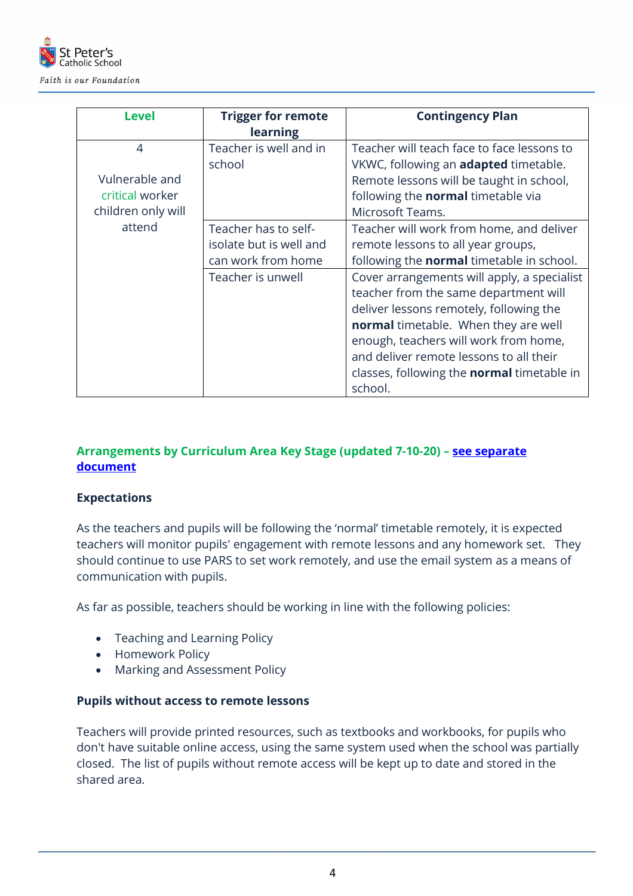

| <b>Level</b>       | <b>Trigger for remote</b> | <b>Contingency Plan</b>                           |
|--------------------|---------------------------|---------------------------------------------------|
|                    | learning                  |                                                   |
| 4                  | Teacher is well and in    | Teacher will teach face to face lessons to        |
|                    | school                    | VKWC, following an <b>adapted</b> timetable.      |
| Vulnerable and     |                           | Remote lessons will be taught in school,          |
| critical worker    |                           | following the normal timetable via                |
| children only will |                           | Microsoft Teams.                                  |
| attend             | Teacher has to self-      | Teacher will work from home, and deliver          |
|                    | isolate but is well and   | remote lessons to all year groups,                |
|                    | can work from home        | following the <b>normal</b> timetable in school.  |
|                    | Teacher is unwell         | Cover arrangements will apply, a specialist       |
|                    |                           | teacher from the same department will             |
|                    |                           | deliver lessons remotely, following the           |
|                    |                           | normal timetable. When they are well              |
|                    |                           | enough, teachers will work from home,             |
|                    |                           | and deliver remote lessons to all their           |
|                    |                           | classes, following the <b>normal</b> timetable in |
|                    |                           | school.                                           |

# **Arrangements by Curriculum Area Key Stage (updated 7-10-20) – [see separate](Remote%20Learning%20Arrangements%20by%20Key%20Stage%205-1-21.docx)  [document](Remote%20Learning%20Arrangements%20by%20Key%20Stage%205-1-21.docx)**

# **Expectations**

As the teachers and pupils will be following the 'normal' timetable remotely, it is expected teachers will monitor pupils' engagement with remote lessons and any homework set. They should continue to use PARS to set work remotely, and use the email system as a means of communication with pupils.

As far as possible, teachers should be working in line with the following policies:

- Teaching and Learning Policy
- Homework Policy
- Marking and Assessment Policy

#### **Pupils without access to remote lessons**

Teachers will provide printed resources, such as textbooks and workbooks, for pupils who don't have suitable online access, using the same system used when the school was partially closed. The list of pupils without remote access will be kept up to date and stored in the shared area.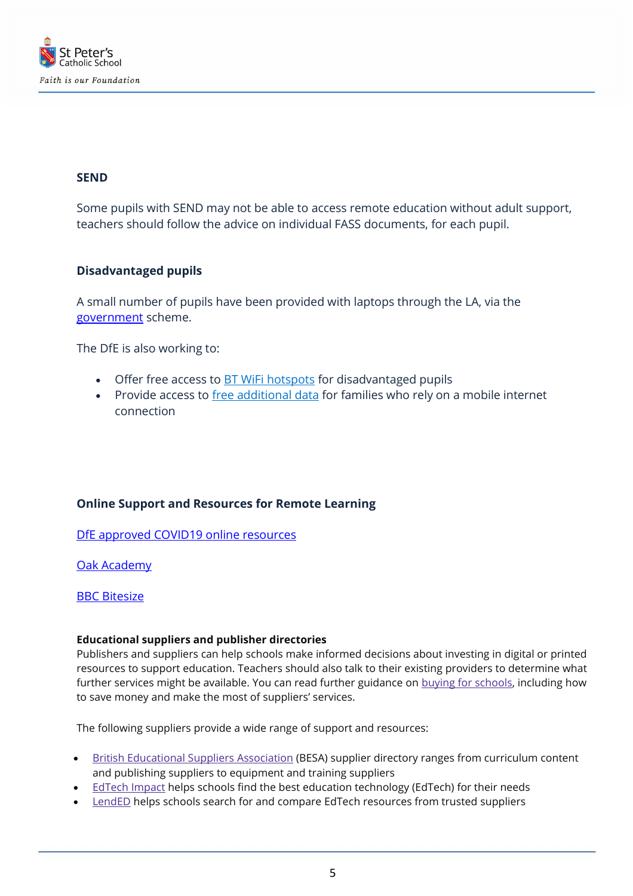

# **SEND**

Some pupils with SEND may not be able to access remote education without adult support, teachers should follow the advice on individual FASS documents, for each pupil.

# **Disadvantaged pupils**

A small number of pupils have been provided with laptops through the LA, via the [government](https://www.gov.uk/guidance/get-help-with-technology-for-remote-education-during-coronavirus-covid-19) scheme.

The DfE is also working to:

- Offer free access to **[BT WiFi hotspots](https://get-help-with-tech.education.gov.uk/about-bt-wifi)** for disadvantaged pupils
- Provide access to *[free additional data](https://get-help-with-tech.education.gov.uk/about-increasing-mobile-data)* for families who rely on a mobile internet connection

# **Online Support and Resources for Remote Learning**

[DfE approved COVID19 online resources](https://www.gov.uk/government/publications/coronavirus-covid-19-online-education-resources)

[Oak Academy](https://www.thenational.academy/2020-21-oak-curriculum)

#### **[BBC Bitesize](https://www.bbc.co.uk/bitesize)**

#### **Educational suppliers and publisher directories**

Publishers and suppliers can help schools make informed decisions about investing in digital or printed resources to support education. Teachers should also talk to their existing providers to determine what further services might be available. You can read further guidance on buying for [schools,](https://www.gov.uk/guidance/buying-for-schools/books-and-educational-resources) including how to save money and make the most of suppliers' services.

The following suppliers provide a wide range of support and resources:

- British [Educational](https://www.besa.org.uk/supplier-directory/) Suppliers Association (BESA) supplier directory ranges from curriculum content and publishing suppliers to equipment and training suppliers
- [EdTech](https://edtechimpact.com/) Impact helps schools find the best education technology (EdTech) for their needs
- **[LendED](https://www.lended.org.uk/)** helps schools search for and compare EdTech resources from trusted suppliers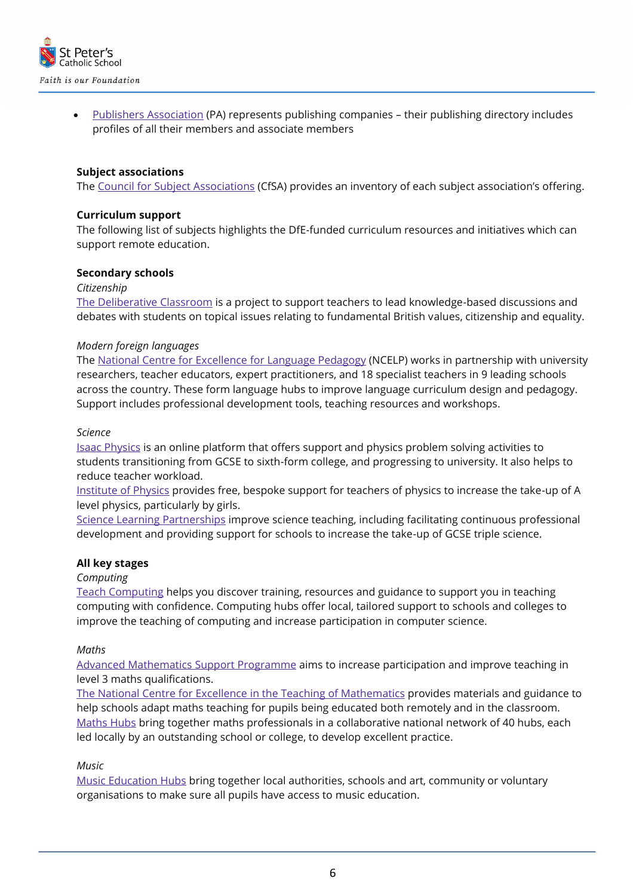

• Publishers [Association](https://www.publishers.org.uk/members/) (PA) represents publishing companies - their publishing directory includes profiles of all their members and associate members

#### **Subject associations**

The Council for Subject [Associations](https://www.subjectassociations.org.uk/cfsa-response-to-covid-19/) (CfSA) provides an inventory of each subject association's offering.

#### **Curriculum support**

The following list of subjects highlights the DfE-funded curriculum resources and initiatives which can support remote education.

#### **Secondary schools**

*Citizenship*

The [Deliberative](https://educateagainsthate.com/resources/the-deliberative-classroom/) Classroom is a project to support teachers to lead knowledge-based discussions and debates with students on topical issues relating to fundamental British values, citizenship and equality.

#### *Modern foreign languages*

The National Centre for [Excellence](https://ncelp.org/resources/) for Language Pedagogy (NCELP) works in partnership with university researchers, teacher educators, expert practitioners, and 18 specialist teachers in 9 leading schools across the country. These form language hubs to improve language curriculum design and pedagogy. Support includes professional development tools, teaching resources and workshops.

#### *Science*

Isaac [Physics](https://isaacphysics.org/) is an online platform that offers support and physics problem solving activities to students transitioning from GCSE to sixth-form college, and progressing to university. It also helps to reduce teacher workload.

[Institute](https://www.iop.org/education) of Physics provides free, bespoke support for teachers of physics to increase the take-up of A level physics, particularly by girls.

Science Learning [Partnerships](https://www.stem.org.uk/science-learning-partnerships) improve science teaching, including facilitating continuous professional development and providing support for schools to increase the take-up of GCSE triple science.

#### **All key stages**

#### *Computing*

Teach [Computing](https://teachcomputing.org/?gclid=CjwKCAjw1K75BRAEEiwAd41h1IZ2Rt-61VjxGJ0XDKnw1ft7lMNy5ZjCHYEfSCyJOEokALj28Fc09RoC8nAQAvD_BwE) helps you discover training, resources and guidance to support you in teaching computing with confidence. Computing hubs offer local, tailored support to schools and colleges to improve the teaching of computing and increase participation in computer science.

#### *Maths*

Advanced [Mathematics](https://amsp.org.uk/) Support Programme aims to increase participation and improve teaching in level 3 maths qualifications.

The National Centre for Excellence in the Teaching of [Mathematics](https://www.ncetm.org.uk/) provides materials and guidance to help schools adapt maths teaching for pupils being educated both remotely and in the classroom. [Maths](https://www.ncetm.org.uk/maths-hubs) Hubs bring together maths professionals in a collaborative national network of 40 hubs, each led locally by an outstanding school or college, to develop excellent practice.

#### *Music*

Music [Education](https://www.artscouncil.org.uk/music-education/music-education-hubs) Hubs bring together local authorities, schools and art, community or voluntary organisations to make sure all pupils have access to music education.